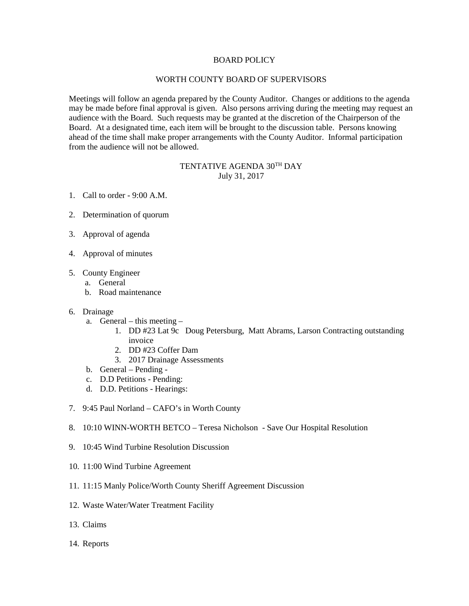## BOARD POLICY

## WORTH COUNTY BOARD OF SUPERVISORS

Meetings will follow an agenda prepared by the County Auditor. Changes or additions to the agenda may be made before final approval is given. Also persons arriving during the meeting may request an audience with the Board. Such requests may be granted at the discretion of the Chairperson of the Board. At a designated time, each item will be brought to the discussion table. Persons knowing ahead of the time shall make proper arrangements with the County Auditor. Informal participation from the audience will not be allowed.

## TENTATIVE AGENDA 30TH DAY July 31, 2017

- 1. Call to order 9:00 A.M.
- 2. Determination of quorum
- 3. Approval of agenda
- 4. Approval of minutes
- 5. County Engineer
	- a. General
	- b. Road maintenance
- 6. Drainage
	- a. General this meeting
		- 1. DD #23 Lat 9c Doug Petersburg, Matt Abrams, Larson Contracting outstanding invoice
		- 2. DD #23 Coffer Dam
		- 3. 2017 Drainage Assessments
	- b. General Pending -
	- c. D.D Petitions Pending:
	- d. D.D. Petitions Hearings:
- 7. 9:45 Paul Norland CAFO's in Worth County
- 8. 10:10 WINN-WORTH BETCO Teresa Nicholson Save Our Hospital Resolution
- 9. 10:45 Wind Turbine Resolution Discussion
- 10. 11:00 Wind Turbine Agreement
- 11. 11:15 Manly Police/Worth County Sheriff Agreement Discussion
- 12. Waste Water/Water Treatment Facility
- 13. Claims
- 14. Reports